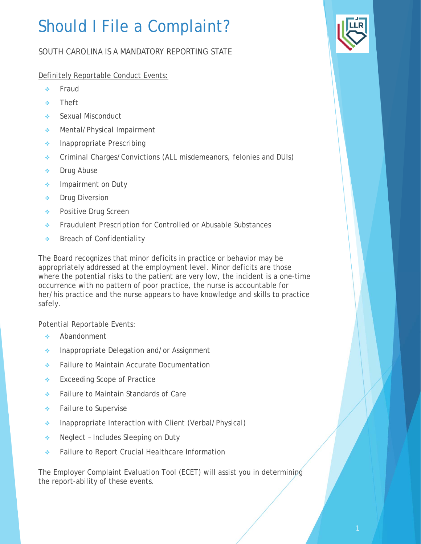## Should I File a Complaint?

## SOUTH CAROLINA IS A MANDATORY REPORTING STATE

Definitely Reportable Conduct Events:

- ◆ Fraud
- **\*** Theft
- ◆ Sexual Misconduct
- ◆ Mental/Physical Impairment
- **Inappropriate Prescribing**
- Criminal Charges/Convictions (ALL misdemeanors, felonies and DUIs)
- **Drug Abuse**
- **Impairment on Duty**
- **↑** Drug Diversion
- ◆ Positive Drug Screen
- **Fraudulent Prescription for Controlled or Abusable Substances**
- **◆** Breach of Confidentiality

The Board recognizes that minor deficits in practice or behavior may be appropriately addressed at the employment level. Minor deficits are those where the potential risks to the patient are very low, the incident is a one-time occurrence with no pattern of poor practice, the nurse is accountable for her/his practice and the nurse appears to have knowledge and skills to practice safely.

Potential Reportable Events:

- Abandonment
- **Inappropriate Delegation and/or Assignment**
- **↑** Failure to Maintain Accurate Documentation
- ◆ Exceeding Scope of Practice
- ◆ Failure to Maintain Standards of Care
- ◆ Failure to Supervise
- **Inappropriate Interaction with Client (Verbal/Physical)**
- ◆ Neglect Includes Sleeping on Duty
- ◆ Failure to Report Crucial Healthcare Information

The Employer Complaint Evaluation Tool (ECET) will assist you in determining the report-ability of these events.